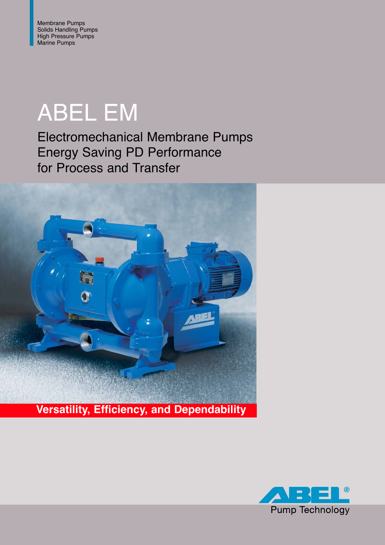Membrane Pumps Solids Handling Pumps High Pressure Pumps Marine Pumps

# ABEL EM

Electromechanical Membrane Pumps Energy Saving PD Performance for Process and Transfer



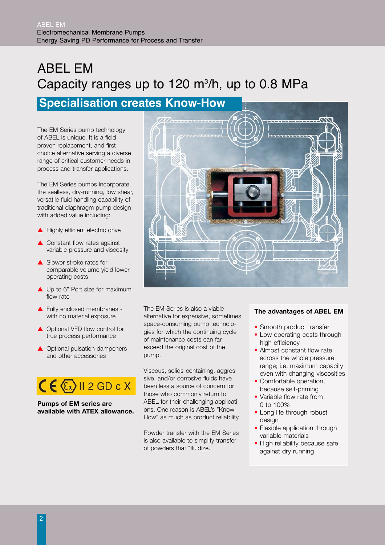## ABEL EM Capacity ranges up to 120  $m^3/h$ , up to 0.8 MPa

## **Specialisation creates Know-How**

The EM Series pump technology of ABEL is unique. It is a field proven replacement, and first choice alternative serving a diverse range of critical customer needs in process and transfer applications.

The EM Series pumps incorporate the sealless, dry-running, low shear, versatile fluid handling capability of traditional diaphragm pump design with added value including:

- ▲ Highly efficient electric drive
- ▲ Constant flow rates against variable pressure and viscosity
- ▲ Slower stroke rates for comparable volume yield lower operating costs
- ▲ Up to 6" Port size for maximum flow rate
- ▲ Fully enclosed membranes with no material exposure
- ▲ Optional VFD flow control for true process performance
- ▲ Optional pulsation dampeners and other accessories



**Pumps of EM series are available with ATEX allowance.** 



The EM Series is also a viable alternative for expensive, sometimes space-consuming pump technologies for which the continuing cycle of maintenance costs can far exceed the original cost of the pump.

Viscous, solids-containing, aggressive, and/or corrosive fluids have been less a source of concern for those who commonly return to ABEL for their challenging applications. One reason is ABEL's "Know-How" as much as product reliability.

Powder transfer with the EM Series is also available to simplify transfer of powders that "fluidize."

#### **The advantages of ABEL EM**

- Smooth product transfer
- Low operating costs through high efficiency
- Almost constant flow rate across the whole pressure range; i.e. maximum capacity even with changing viscosities
- Comfortable operation, because self-priming
- Variable flow rate from 0 to 100%
- Long life through robust design
- Flexible application through variable materials
- High reliability because safe against dry running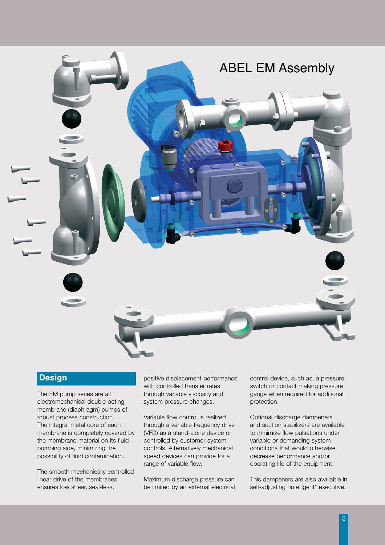

The EM pump series are all electromechanical double-acting membrane (diaphragm) pumps of robust process construction. The integral metal core of each membrane is completely covered by the membrane material on its fluid pumping side, minimizing the possibility of fluid contamination.

The smooth mechanically controlled linear drive of the membranes ensures low shear, seal-less,

**Design positive displacement performance** with controlled transfer rates through variable viscosity and system pressure changes.

> Variable flow control is realized through a variable frequency drive (VFD) as a stand-alone device or controlled by customer system controls. Alternatively mechanical speed devices can provide for a range of variable flow.

> Maximum discharge pressure can be limited by an external electrical

control device, such as, a pressure switch or contact making pressure gange when required for additional protection.

Optional discharge dampeners and suction stabilizers are available to minimize flow pulsations under variable or demanding system conditions that would otherwise decrease performance and/or operating life of the equipment.

This dampeners are also available in self-adjusting "intelligent" executive.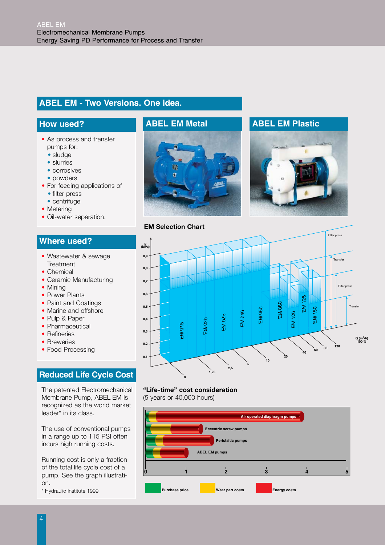## **ABEL EM - Two Versions. One idea.**

#### **How used?**

- As process and transfer pumps for:
	- sludge
	- slurries
	- corrosives
	- powders
- For feeding applications of
	- filter press
	- centrifuge
- Metering
- Oil-water separation.

## **Where used?**

- Wastewater & sewage **Treatment**
- Chemical
- Ceramic Manufacturing
- Mining
- Power Plants
- Paint and Coatings
- Marine and offshore
- Pulp & Paper
- Pharmaceutical
- Refineries
- Breweries
- Food Processing

## **Reduced Life Cycle Cost**

The patented Electromechanical Membrane Pump, ABEL EM is recognized as the world market leader\* in its class.

The use of conventional pumps in a range up to 115 PSI often incurs high running costs.

Running cost is only a fraction of the total life cycle cost of a pump. See the graph illustration.

\* Hydraulic Institute 1999





## **"Life-time" cost consideration**

(5 years or 40,000 hours)

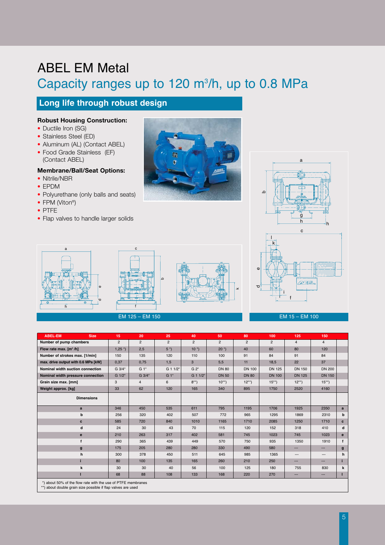## ABEL EM Metal Capacity ranges up to  $120 \text{ m}^3/\text{h}$ , up to 0.8 MPa

## **Long life through robust design**

#### **Robust Housing Construction:**

- Ductile Iron (SG)
- Stainless Steel (ED)
- Aluminum (AL) (Contact ABEL)
- Food Grade Stainless (EF) (Contact ABEL)

#### **Membrane/Ball/Seat Options:**

- Nitrile/NBR
- EPDM
- Polyurethane (only balls and seats)
- FPM (Viton®)
- PTFE
- Flap valves to handle larger solids









### EM 15 – EM 100

k

| <b>ABEL-EM</b><br><b>Size</b>                                                                                                | 15                    | 20             | 25             | 40             | 50             | 80             | 100            | 125                      | 150                      |              |  |
|------------------------------------------------------------------------------------------------------------------------------|-----------------------|----------------|----------------|----------------|----------------|----------------|----------------|--------------------------|--------------------------|--------------|--|
| Number of pump chambers                                                                                                      | $\overline{2}$        | $\overline{2}$ | $\overline{2}$ | $\overline{2}$ | $\overline{2}$ | $\overline{2}$ | $\overline{2}$ | $\overline{4}$           | $\overline{4}$           |              |  |
| Flow rate max. [m <sup>3</sup> /h]                                                                                           | $1,25$ <sup>*</sup> ) | 2,5            | $5*)$          | $10*$          | $20*$          | 40             | 60             | 80                       | 120                      |              |  |
| Number of strokes max. [1/min]                                                                                               | 150                   | 135            | 120            | 110            | 100            | 91             | 84             | 91                       | 84                       |              |  |
| max. drive output with 0.6 MPa [kW]                                                                                          | 0,37                  | 0,75           | 1,5            | 3              | 5,5            | 11             | 18,5           | 22                       | 37                       |              |  |
| Nominal width suction connection                                                                                             | G 3/4"                | G 1"           | G 1 1/2"       | G 2"           | <b>DN 80</b>   | <b>DN 100</b>  | <b>DN 125</b>  | <b>DN 150</b>            | <b>DN 200</b>            |              |  |
| Nominal width pressure connection                                                                                            | G 1/2"                | G 3/4"         | G 1"           | G 1 1/2"       | <b>DN 50</b>   | <b>DN 80</b>   | <b>DN 100</b>  | <b>DN 125</b>            | <b>DN 150</b>            |              |  |
| Grain size max. [mm]                                                                                                         | 3                     | $\overline{4}$ | 6              | $8**$          | $10**$         | $12**$         | $15***$        | $12***$                  | $15**$                   |              |  |
| Weight approx. [kg]                                                                                                          | 33                    | 62             | 120            | 165            | 340            | 895            | 1750           | 2520                     | 4160                     |              |  |
| <b>Dimensions</b>                                                                                                            |                       |                |                |                |                |                |                |                          |                          |              |  |
| $\mathbf{a}$                                                                                                                 | 346                   | 450            | 535            | 611            | 795            | 1195           | 1706           | 1925                     | 2350                     | $\mathbf{a}$ |  |
| b                                                                                                                            | 256                   | 320            | 402            | 507            | 772            | 965            | 1295           | 1869                     | 2310                     | b            |  |
| $\mathbf c$                                                                                                                  | 585                   | 720            | 840            | 1010           | 1165           | 1710           | 2085           | 1250                     | 1710                     | $\mathbf{c}$ |  |
| d                                                                                                                            | 24                    | 30             | 43             | 70             | 115            | 120            | 152            | 318                      | 410                      | d            |  |
| e                                                                                                                            | 210                   | 263            | 317            | 402            | 581            | 745            | 1023           | 745                      | 1023                     | $\mathbf{e}$ |  |
| $\mathbf f$                                                                                                                  | 290                   | 365            | 439            | 449            | 570            | 750            | 935            | 1350                     | 1910                     | $\mathbf f$  |  |
| g                                                                                                                            | 175                   | 205            | 280            | 280            | 330            | 490            | 580            | ---                      | ---                      | $\mathbf{g}$ |  |
| h                                                                                                                            | 300                   | 378            | 450            | 511            | 645            | 985            | 1365           | ---                      | $\overline{\phantom{a}}$ | h            |  |
| ĩ                                                                                                                            | 80                    | 100            | 135            | 165            | 260            | 210            | 250            | $\overline{\phantom{a}}$ | ---                      |              |  |
| $\bf k$                                                                                                                      | 30                    | 30             | 40             | 56             | 100            | 125            | 180            | 755                      | 830                      | k            |  |
|                                                                                                                              | 68                    | 88             | 108            | 133            | 168            | 220            | 270            | ---                      | ---                      |              |  |
| *) about 50% of the flow rate with the use of PTFE membranes<br>**) about double grain size possible if flap valves are used |                       |                |                |                |                |                |                |                          |                          |              |  |

\*\*) about double grain size possible if flap valves are used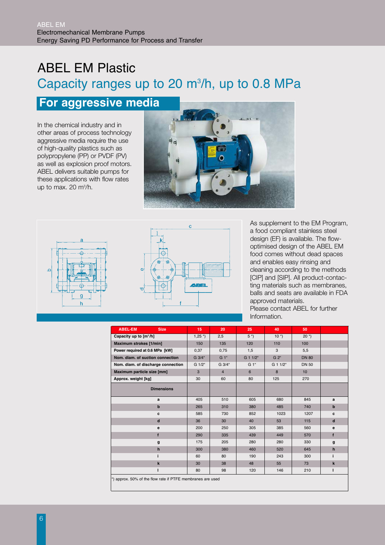## ABEL EM Plastic Capacity ranges up to 20  $m^3/h$ , up to 0.8 MPa

## **For aggressive media**

In the chemical industry and in other areas of process technology aggressive media require the use of high-quality plastics such as polypropylene (PP) or PVDF (PV) as well as explosion proof motors. ABEL delivers suitable pumps for these applications with flow rates up to max. 20 m<sup>3</sup>/h.







As supplement to the EM Program, a food compliant stainless steel design (EF) is available. The flowoptimised design of the ABEL EM food comes without dead spaces and enables easy rinsing and cleaning according to the methods [CIP] and [SIP]. All product-contacting materials such as membranes, balls and seats are available in FDA approved materials.

Please contact ABEL for further Information.

| <b>ABEL-EM</b><br><b>Size</b>                              | 15                    | 20             | 25       | 40         | 50               |              |  |  |  |
|------------------------------------------------------------|-----------------------|----------------|----------|------------|------------------|--------------|--|--|--|
| Capacity up to [m3/h]                                      | $1,25$ <sup>*</sup> ) | 2,5            | $5*)$    | $10*$      | $20*$            |              |  |  |  |
| Maximum strokes [1/min]                                    | 150                   | 135            | 120      | 110        | 100              |              |  |  |  |
| Power required at 0.6 MPa [kW]                             | 0,37                  | 0,75           | 1,5      | 3          | 5,5              |              |  |  |  |
| Nom. diam. of suction connection                           | G 3/4"                | G 1"           | G 1 1/2" | G 2"       | <b>DN 80</b>     |              |  |  |  |
| Nom. diam. of discharge connection                         | G 1/2"                | G 3/4"         | G 1"     | $G$ 1 1/2" | <b>DN 50</b>     |              |  |  |  |
| Maximum particle size [mm]                                 | 3                     | $\overline{4}$ | 6        | 8          | 10 <sup>10</sup> |              |  |  |  |
| Approx. weight [kg]                                        | 30                    | 60             | 80       | 125        | 270              |              |  |  |  |
| <b>Dimensions</b>                                          |                       |                |          |            |                  |              |  |  |  |
| a                                                          | 405                   | 510            | 605      | 680        | 845              | a            |  |  |  |
| b                                                          | 265                   | 310            | 380      | 485        | 740              | $\mathbf b$  |  |  |  |
| c                                                          | 585                   | 730            | 852      | 1023       | 1207             | c            |  |  |  |
| d                                                          | 36                    | 30             | 40       | 53         | 115              | d            |  |  |  |
| е                                                          | 200                   | 250            | 305      | 385        | 560              | e            |  |  |  |
| f                                                          | 290                   | 335            | 439      | 449        | 570              | $\mathbf{f}$ |  |  |  |
| g                                                          | 175                   | 205            | 280      | 280        | 330              | g            |  |  |  |
| $\mathbf{h}$                                               | 300                   | 380            | 460      | 520        | 645              | $\mathbf{h}$ |  |  |  |
| i.                                                         | 60                    | 80             | 190      | 243        | 300              | i.           |  |  |  |
| $\mathbf k$                                                | 30                    | 38             | 48       | 55         | 73               | k            |  |  |  |
| I                                                          | 80                    | 98             | 120      | 146        | 210              | п            |  |  |  |
| *) approx. 50% of the flow rate if PTFE membranes are used |                       |                |          |            |                  |              |  |  |  |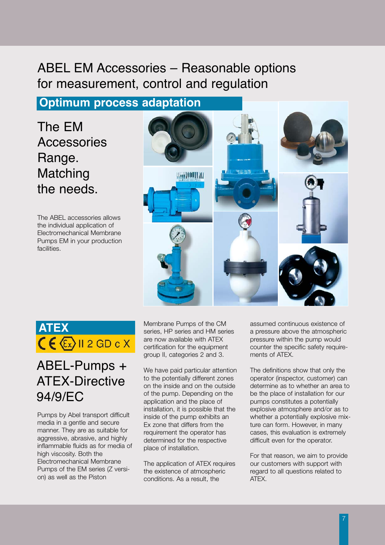## ABEL EM Accessories – Reasonable options for measurement, control and regulation

## **Optimum process adaptation**

The EM **Accessories** Range. Matching the needs.

The ABEL accessories allows the individual application of Electromechanical Membrane Pumps EM in your production facilities.



## **ATEX**  $CE$   $\sqrt{(x)}$  II 2 GD c X

## ABEL-Pumps + ATEX-Directive 94/9/EC

Pumps by Abel transport difficult media in a gentle and secure manner. They are as suitable for aggressive, abrasive, and highly inflammable fluids as for media of high viscosity. Both the Electromechanical Membrane Pumps of the EM series (Z version) as well as the Piston

Membrane Pumps of the CM series, HP series and HM series are now available with ATEX certification for the equipment group II, categories 2 and 3.

We have paid particular attention to the potentially different zones on the inside and on the outside of the pump. Depending on the application and the place of installation, it is possible that the inside of the pump exhibits an Ex zone that differs from the requirement the operator has determined for the respective place of installation.

The application of ATEX requires the existence of atmospheric conditions. As a result, the

assumed continuous existence of a pressure above the atmospheric pressure within the pump would counter the specific safety requirements of ATEX.

The definitions show that only the operator (inspector, customer) can determine as to whether an area to be the place of installation for our pumps constitutes a potentially explosive atmosphere and/or as to whether a potentially explosive mixture can form. However, in many cases, this evaluation is extremely difficult even for the operator.

For that reason, we aim to provide our customers with support with regard to all questions related to ATEX.